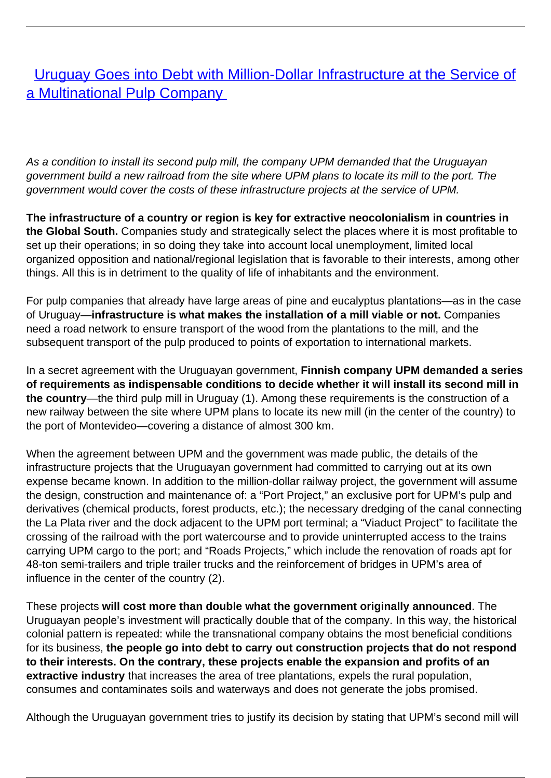**[Uruguay Goes into Debt with Million-Dollar Infrastructure at the Service of](/bulletin-articles/uruguay-goes-into-debt-with-million-dollar-infrastructure-at-the-service-of-a-multinational-pulp-company)** [a Multinational Pulp Company](/bulletin-articles/uruguay-goes-into-debt-with-million-dollar-infrastructure-at-the-service-of-a-multinational-pulp-company)

As a condition to install its second pulp mill, the company UPM demanded that the Uruguayan government build a new railroad from the site where UPM plans to locate its mill to the port. The government would cover the costs of these infrastructure projects at the service of UPM.

**The infrastructure of a country or region is key for extractive neocolonialism in countries in the Global South.** Companies study and strategically select the places where it is most profitable to set up their operations; in so doing they take into account local unemployment, limited local organized opposition and national/regional legislation that is favorable to their interests, among other things. All this is in detriment to the quality of life of inhabitants and the environment.

For pulp companies that already have large areas of pine and eucalyptus plantations—as in the case of Uruguay—**infrastructure is what makes the installation of a mill viable or not.** Companies need a road network to ensure transport of the wood from the plantations to the mill, and the subsequent transport of the pulp produced to points of exportation to international markets.

In a secret agreement with the Uruguayan government, **Finnish company UPM demanded a series of requirements as indispensable conditions to decide whether it will install its second mill in the country**—the third pulp mill in Uruguay (1). Among these requirements is the construction of a new railway between the site where UPM plans to locate its new mill (in the center of the country) to the port of Montevideo—covering a distance of almost 300 km.

When the agreement between UPM and the government was made public, the details of the infrastructure projects that the Uruguayan government had committed to carrying out at its own expense became known. In addition to the million-dollar railway project, the government will assume the design, construction and maintenance of: a "Port Project," an exclusive port for UPM's pulp and derivatives (chemical products, forest products, etc.); the necessary dredging of the canal connecting the La Plata river and the dock adjacent to the UPM port terminal; a "Viaduct Project" to facilitate the crossing of the railroad with the port watercourse and to provide uninterrupted access to the trains carrying UPM cargo to the port; and "Roads Projects," which include the renovation of roads apt for 48-ton semi-trailers and triple trailer trucks and the reinforcement of bridges in UPM's area of influence in the center of the country (2).

These projects **will cost more than double what the government originally announced**. The Uruguayan people's investment will practically double that of the company. In this way, the historical colonial pattern is repeated: while the transnational company obtains the most beneficial conditions for its business, **the people go into debt to carry out construction projects that do not respond to their interests. On the contrary, these projects enable the expansion and profits of an extractive industry** that increases the area of tree plantations, expels the rural population, consumes and contaminates soils and waterways and does not generate the jobs promised.

Although the Uruguayan government tries to justify its decision by stating that UPM's second mill will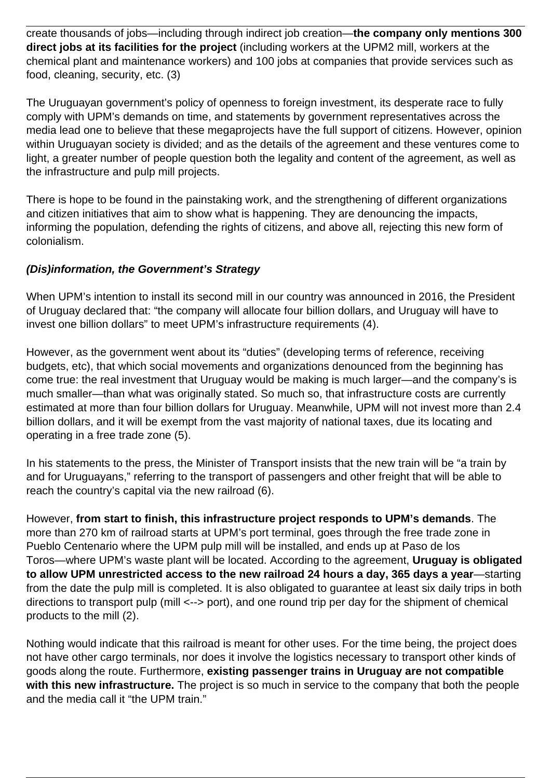create thousands of jobs—including through indirect job creation—**the company only mentions 300 direct jobs at its facilities for the project** (including workers at the UPM2 mill, workers at the chemical plant and maintenance workers) and 100 jobs at companies that provide services such as food, cleaning, security, etc. (3)

The Uruguayan government's policy of openness to foreign investment, its desperate race to fully comply with UPM's demands on time, and statements by government representatives across the media lead one to believe that these megaprojects have the full support of citizens. However, opinion within Uruguayan society is divided; and as the details of the agreement and these ventures come to light, a greater number of people question both the legality and content of the agreement, as well as the infrastructure and pulp mill projects.

There is hope to be found in the painstaking work, and the strengthening of different organizations and citizen initiatives that aim to show what is happening. They are denouncing the impacts, informing the population, defending the rights of citizens, and above all, rejecting this new form of colonialism.

## **(Dis)information, the Government's Strategy**

When UPM's intention to install its second mill in our country was announced in 2016, the President of Uruguay declared that: "the company will allocate four billion dollars, and Uruguay will have to invest one billion dollars" to meet UPM's infrastructure requirements (4).

However, as the government went about its "duties" (developing terms of reference, receiving budgets, etc), that which social movements and organizations denounced from the beginning has come true: the real investment that Uruguay would be making is much larger—and the company's is much smaller—than what was originally stated. So much so, that infrastructure costs are currently estimated at more than four billion dollars for Uruguay. Meanwhile, UPM will not invest more than 2.4 billion dollars, and it will be exempt from the vast majority of national taxes, due its locating and operating in a free trade zone (5).

In his statements to the press, the Minister of Transport insists that the new train will be "a train by and for Uruguayans," referring to the transport of passengers and other freight that will be able to reach the country's capital via the new railroad (6).

However, **from start to finish, this infrastructure project responds to UPM's demands**. The more than 270 km of railroad starts at UPM's port terminal, goes through the free trade zone in Pueblo Centenario where the UPM pulp mill will be installed, and ends up at Paso de los Toros—where UPM's waste plant will be located. According to the agreement, **Uruguay is obligated to allow UPM unrestricted access to the new railroad 24 hours a day, 365 days a year**—starting from the date the pulp mill is completed. It is also obligated to guarantee at least six daily trips in both directions to transport pulp (mill <--> port), and one round trip per day for the shipment of chemical products to the mill (2).

Nothing would indicate that this railroad is meant for other uses. For the time being, the project does not have other cargo terminals, nor does it involve the logistics necessary to transport other kinds of goods along the route. Furthermore, **existing passenger trains in Uruguay are not compatible with this new infrastructure.** The project is so much in service to the company that both the people and the media call it "the UPM train."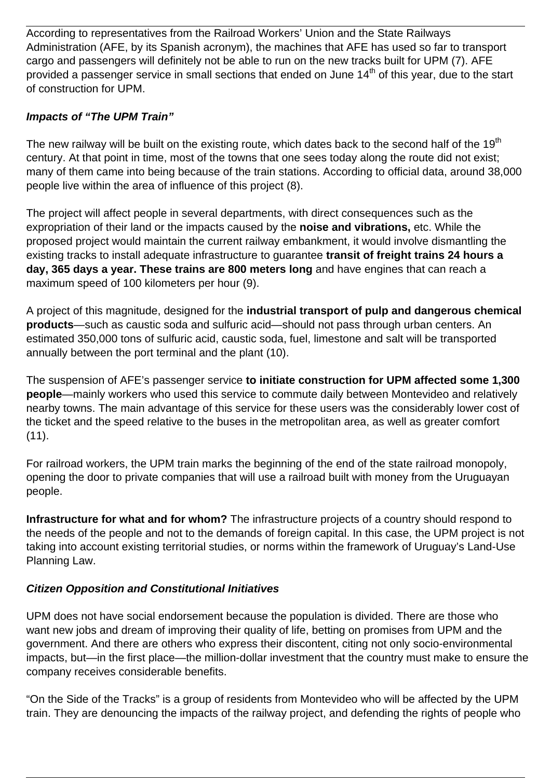According to representatives from the Railroad Workers' Union and the State Railways Administration (AFE, by its Spanish acronym), the machines that AFE has used so far to transport cargo and passengers will definitely not be able to run on the new tracks built for UPM (7). AFE provided a passenger service in small sections that ended on June 14<sup>th</sup> of this year, due to the start of construction for UPM.

## **Impacts of "The UPM Train"**

The new railway will be built on the existing route, which dates back to the second half of the 19<sup>th</sup> century. At that point in time, most of the towns that one sees today along the route did not exist; many of them came into being because of the train stations. According to official data, around 38,000 people live within the area of influence of this project (8).

The project will affect people in several departments, with direct consequences such as the expropriation of their land or the impacts caused by the **noise and vibrations,** etc. While the proposed project would maintain the current railway embankment, it would involve dismantling the existing tracks to install adequate infrastructure to guarantee **transit of freight trains 24 hours a day, 365 days a year. These trains are 800 meters long** and have engines that can reach a maximum speed of 100 kilometers per hour (9).

A project of this magnitude, designed for the **industrial transport of pulp and dangerous chemical products**—such as caustic soda and sulfuric acid—should not pass through urban centers. An estimated 350,000 tons of sulfuric acid, caustic soda, fuel, limestone and salt will be transported annually between the port terminal and the plant (10).

The suspension of AFE's passenger service **to initiate construction for UPM affected some 1,300 people**—mainly workers who used this service to commute daily between Montevideo and relatively nearby towns. The main advantage of this service for these users was the considerably lower cost of the ticket and the speed relative to the buses in the metropolitan area, as well as greater comfort  $(11).$ 

For railroad workers, the UPM train marks the beginning of the end of the state railroad monopoly, opening the door to private companies that will use a railroad built with money from the Uruguayan people.

**Infrastructure for what and for whom?** The infrastructure projects of a country should respond to the needs of the people and not to the demands of foreign capital. In this case, the UPM project is not taking into account existing territorial studies, or norms within the framework of Uruguay's Land-Use Planning Law.

## **Citizen Opposition and Constitutional Initiatives**

UPM does not have social endorsement because the population is divided. There are those who want new jobs and dream of improving their quality of life, betting on promises from UPM and the government. And there are others who express their discontent, citing not only socio-environmental impacts, but—in the first place—the million-dollar investment that the country must make to ensure the company receives considerable benefits.

"On the Side of the Tracks" is a group of residents from Montevideo who will be affected by the UPM train. They are denouncing the impacts of the railway project, and defending the rights of people who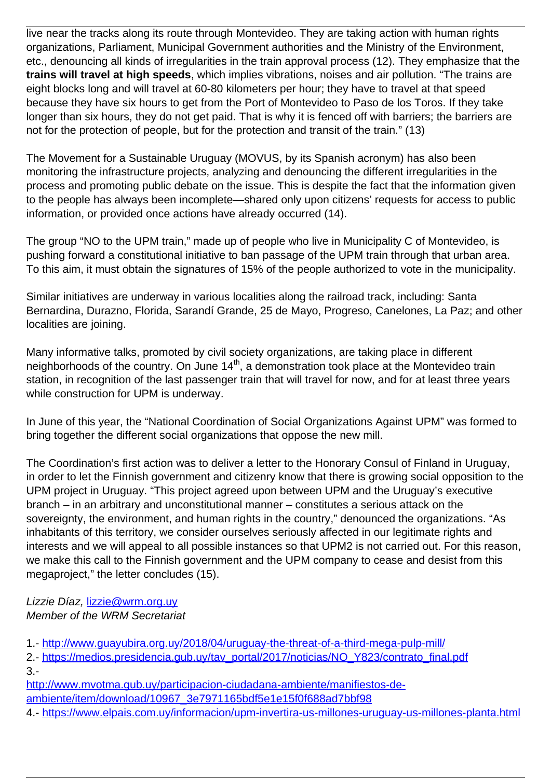live near the tracks along its route through Montevideo. They are taking action with human rights organizations, Parliament, Municipal Government authorities and the Ministry of the Environment, etc., denouncing all kinds of irregularities in the train approval process (12). They emphasize that the **trains will travel at high speeds**, which implies vibrations, noises and air pollution. "The trains are eight blocks long and will travel at 60-80 kilometers per hour; they have to travel at that speed because they have six hours to get from the Port of Montevideo to Paso de los Toros. If they take longer than six hours, they do not get paid. That is why it is fenced off with barriers; the barriers are not for the protection of people, but for the protection and transit of the train." (13)

The Movement for a Sustainable Uruguay (MOVUS, by its Spanish acronym) has also been monitoring the infrastructure projects, analyzing and denouncing the different irregularities in the process and promoting public debate on the issue. This is despite the fact that the information given to the people has always been incomplete—shared only upon citizens' requests for access to public information, or provided once actions have already occurred (14).

The group "NO to the UPM train," made up of people who live in Municipality C of Montevideo, is pushing forward a constitutional initiative to ban passage of the UPM train through that urban area. To this aim, it must obtain the signatures of 15% of the people authorized to vote in the municipality.

Similar initiatives are underway in various localities along the railroad track, including: Santa Bernardina, Durazno, Florida, Sarandí Grande, 25 de Mayo, Progreso, Canelones, La Paz; and other localities are joining.

Many informative talks, promoted by civil society organizations, are taking place in different neighborhoods of the country. On June 14<sup>th</sup>, a demonstration took place at the Montevideo train station, in recognition of the last passenger train that will travel for now, and for at least three years while construction for UPM is underway.

In June of this year, the "National Coordination of Social Organizations Against UPM" was formed to bring together the different social organizations that oppose the new mill.

The Coordination's first action was to deliver a letter to the Honorary Consul of Finland in Uruguay, in order to let the Finnish government and citizenry know that there is growing social opposition to the UPM project in Uruguay. "This project agreed upon between UPM and the Uruguay's executive branch – in an arbitrary and unconstitutional manner – constitutes a serious attack on the sovereignty, the environment, and human rights in the country," denounced the organizations. "As inhabitants of this territory, we consider ourselves seriously affected in our legitimate rights and interests and we will appeal to all possible instances so that UPM2 is not carried out. For this reason, we make this call to the Finnish government and the UPM company to cease and desist from this megaproject," the letter concludes (15).

## Lizzie Díaz, [lizzie@wrm.org.uy](mailto:lizzie@wrm.org.uy) Member of the WRM Secretariat

1.- [http://www.guayubira.org.uy/2018/04/uruguay-the-threat-of-a-third-mega-pulp-mill/](https://wrm.us9.list-manage.com/track/click?u=f91b651f7fecdf835b57dc11d&id=024db8713f&e=d8e27bd4ab)

2.- https://medios.presidencia.qub.uy/tav\_portal/2017/noticias/NO\_Y823/contrato\_final.pdf 3.-

[http://www.mvotma.gub.uy/participacion-ciudadana-ambiente/manifiestos-de-](https://wrm.us9.list-manage.com/track/click?u=f91b651f7fecdf835b57dc11d&id=22aaf49a26&e=d8e27bd4ab)

[ambiente/item/download/10967\\_3e7971165bdf5e1e15f0f688ad7bbf98](https://wrm.us9.list-manage.com/track/click?u=f91b651f7fecdf835b57dc11d&id=22aaf49a26&e=d8e27bd4ab)

4.- [https://www.elpais.com.uy/informacion/upm-invertira-us-millones-uruguay-us-millones-planta.html](https://wrm.us9.list-manage.com/track/click?u=f91b651f7fecdf835b57dc11d&id=0b5b2e5773&e=d8e27bd4ab)